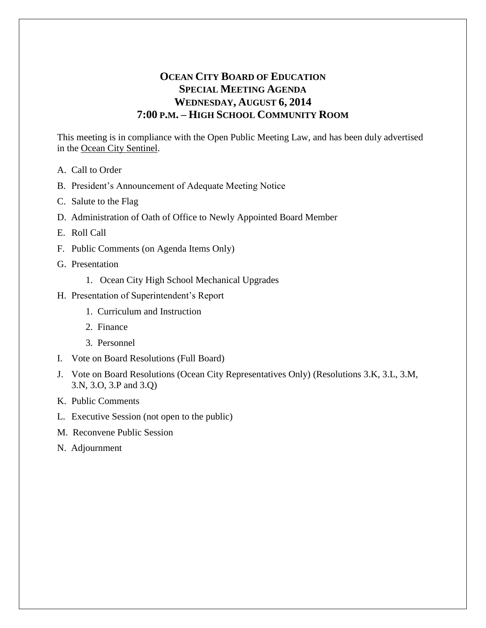# **OCEAN CITY BOARD OF EDUCATION SPECIAL MEETING AGENDA WEDNESDAY, AUGUST 6, 2014 7:00 P.M. – HIGH SCHOOL COMMUNITY ROOM**

This meeting is in compliance with the Open Public Meeting Law, and has been duly advertised in the Ocean City Sentinel.

- A. Call to Order
- B. President's Announcement of Adequate Meeting Notice
- C. Salute to the Flag
- D. Administration of Oath of Office to Newly Appointed Board Member
- E. Roll Call
- F. Public Comments (on Agenda Items Only)
- G. Presentation
	- 1. Ocean City High School Mechanical Upgrades
- H. Presentation of Superintendent's Report
	- 1. Curriculum and Instruction
	- 2. Finance
	- 3. Personnel
- I. Vote on Board Resolutions (Full Board)
- J. Vote on Board Resolutions (Ocean City Representatives Only) (Resolutions 3.K, 3.L, 3.M, 3.N, 3.O, 3.P and 3.Q)
- K. Public Comments
- L. Executive Session (not open to the public)
- M. Reconvene Public Session
- N. Adjournment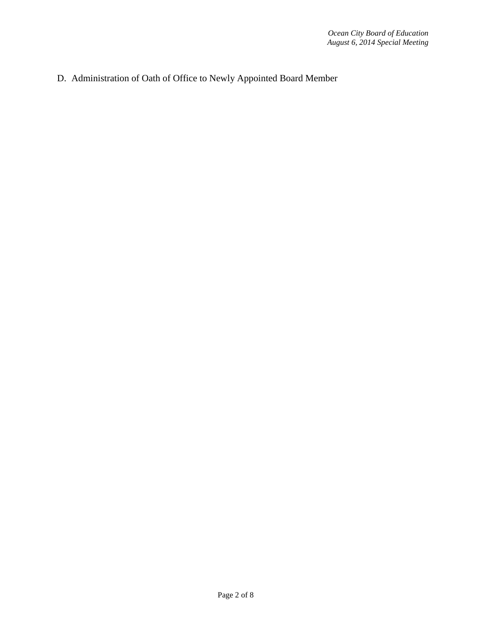D. Administration of Oath of Office to Newly Appointed Board Member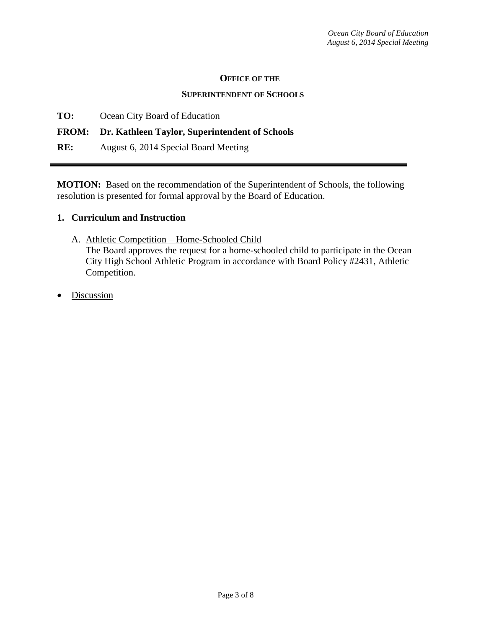#### **OFFICE OF THE**

#### **SUPERINTENDENT OF SCHOOLS**

**TO:** Ocean City Board of Education

### **FROM: Dr. Kathleen Taylor, Superintendent of Schools**

**RE:** August 6, 2014 Special Board Meeting

**MOTION:** Based on the recommendation of the Superintendent of Schools, the following resolution is presented for formal approval by the Board of Education.

#### **1. Curriculum and Instruction**

A. Athletic Competition – Home-Schooled Child

The Board approves the request for a home-schooled child to participate in the Ocean City High School Athletic Program in accordance with Board Policy #2431, Athletic Competition.

Discussion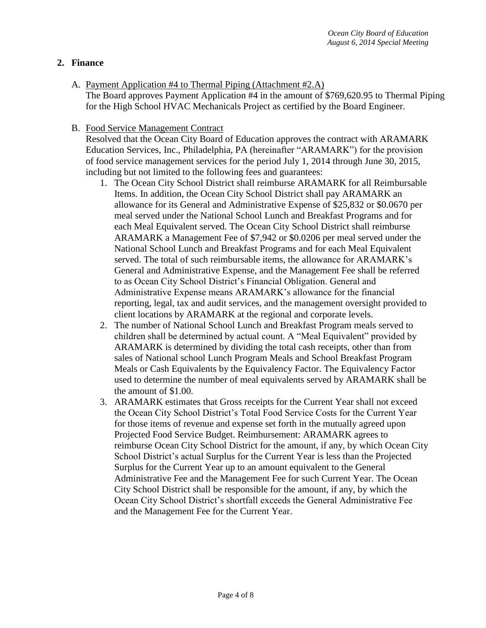### **2. Finance**

A. Payment Application #4 to Thermal Piping (Attachment #2.A)

The Board approves Payment Application #4 in the amount of \$769,620.95 to Thermal Piping for the High School HVAC Mechanicals Project as certified by the Board Engineer.

#### B. Food Service Management Contract

Resolved that the Ocean City Board of Education approves the contract with ARAMARK Education Services, Inc., Philadelphia, PA (hereinafter "ARAMARK") for the provision of food service management services for the period July 1, 2014 through June 30, 2015, including but not limited to the following fees and guarantees:

- 1. The Ocean City School District shall reimburse ARAMARK for all Reimbursable Items. In addition, the Ocean City School District shall pay ARAMARK an allowance for its General and Administrative Expense of \$25,832 or \$0.0670 per meal served under the National School Lunch and Breakfast Programs and for each Meal Equivalent served. The Ocean City School District shall reimburse ARAMARK a Management Fee of \$7,942 or \$0.0206 per meal served under the National School Lunch and Breakfast Programs and for each Meal Equivalent served. The total of such reimbursable items, the allowance for ARAMARK's General and Administrative Expense, and the Management Fee shall be referred to as Ocean City School District's Financial Obligation. General and Administrative Expense means ARAMARK's allowance for the financial reporting, legal, tax and audit services, and the management oversight provided to client locations by ARAMARK at the regional and corporate levels.
- 2. The number of National School Lunch and Breakfast Program meals served to children shall be determined by actual count. A "Meal Equivalent" provided by ARAMARK is determined by dividing the total cash receipts, other than from sales of National school Lunch Program Meals and School Breakfast Program Meals or Cash Equivalents by the Equivalency Factor. The Equivalency Factor used to determine the number of meal equivalents served by ARAMARK shall be the amount of \$1.00.
- 3. ARAMARK estimates that Gross receipts for the Current Year shall not exceed the Ocean City School District's Total Food Service Costs for the Current Year for those items of revenue and expense set forth in the mutually agreed upon Projected Food Service Budget. Reimbursement: ARAMARK agrees to reimburse Ocean City School District for the amount, if any, by which Ocean City School District's actual Surplus for the Current Year is less than the Projected Surplus for the Current Year up to an amount equivalent to the General Administrative Fee and the Management Fee for such Current Year. The Ocean City School District shall be responsible for the amount, if any, by which the Ocean City School District's shortfall exceeds the General Administrative Fee and the Management Fee for the Current Year.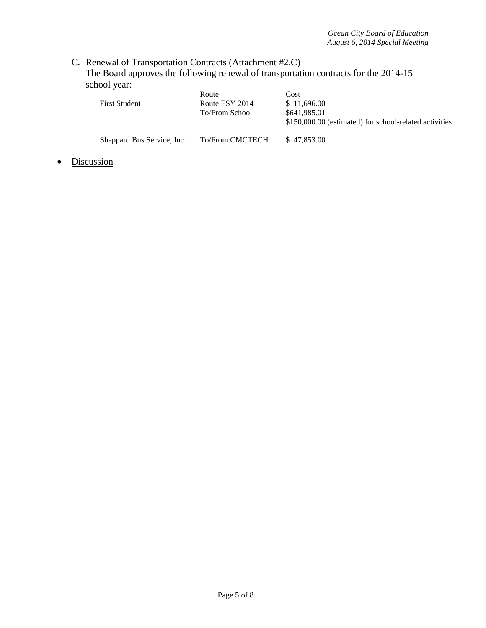## C. Renewal of Transportation Contracts (Attachment #2.C)

The Board approves the following renewal of transportation contracts for the 2014-15 school year:

| <b>First Student</b>       | Route<br>Route ESY 2014<br>To/From School | Cost<br>\$11,696.00<br>\$641,985.01<br>\$150,000.00 (estimated) for school-related activities |
|----------------------------|-------------------------------------------|-----------------------------------------------------------------------------------------------|
| Sheppard Bus Service, Inc. | <b>To/From CMCTECH</b>                    | \$47,853,00                                                                                   |

• Discussion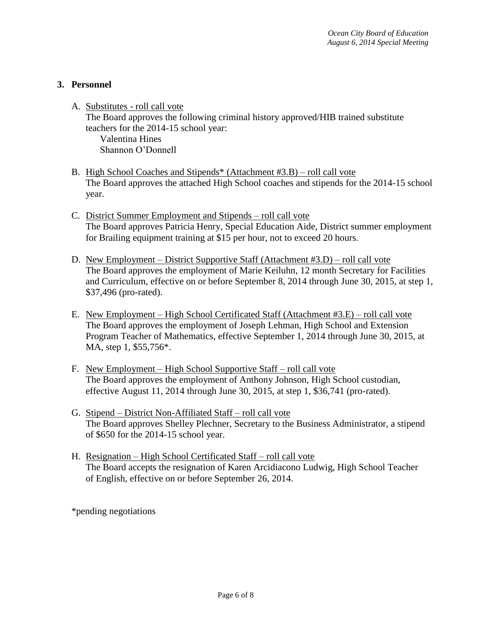## **3. Personnel**

- A. Substitutes roll call vote The Board approves the following criminal history approved/HIB trained substitute teachers for the 2014-15 school year: Valentina Hines Shannon O'Donnell
- B. High School Coaches and Stipends\* (Attachment #3.B) roll call vote The Board approves the attached High School coaches and stipends for the 2014-15 school year.
- C. District Summer Employment and Stipends roll call vote The Board approves Patricia Henry, Special Education Aide, District summer employment for Brailing equipment training at \$15 per hour, not to exceed 20 hours.
- D. New Employment District Supportive Staff (Attachment #3.D) roll call vote The Board approves the employment of Marie Keiluhn, 12 month Secretary for Facilities and Curriculum, effective on or before September 8, 2014 through June 30, 2015, at step 1, \$37,496 (pro-rated).
- E. New Employment High School Certificated Staff (Attachment #3.E) roll call vote The Board approves the employment of Joseph Lehman, High School and Extension Program Teacher of Mathematics, effective September 1, 2014 through June 30, 2015, at MA, step 1, \$55,756\*.
- F. New Employment High School Supportive Staff roll call vote The Board approves the employment of Anthony Johnson, High School custodian, effective August 11, 2014 through June 30, 2015, at step 1, \$36,741 (pro-rated).
- G. Stipend District Non-Affiliated Staff roll call vote The Board approves Shelley Plechner, Secretary to the Business Administrator, a stipend of \$650 for the 2014-15 school year.
- H. Resignation High School Certificated Staff roll call vote The Board accepts the resignation of Karen Arcidiacono Ludwig, High School Teacher of English, effective on or before September 26, 2014.

\*pending negotiations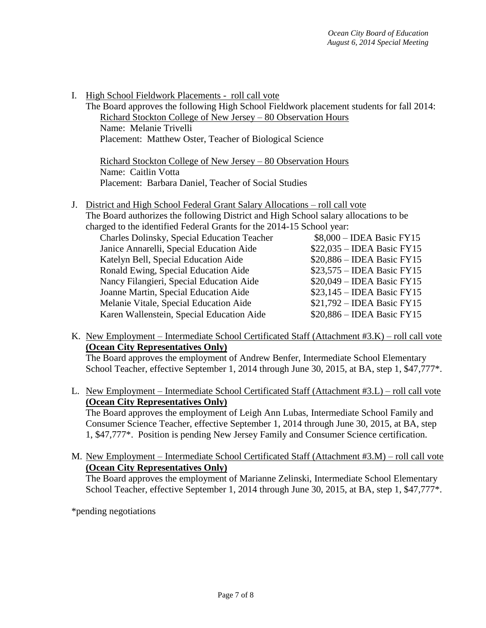I. High School Fieldwork Placements - roll call vote The Board approves the following High School Fieldwork placement students for fall 2014: Richard Stockton College of New Jersey – 80 Observation Hours Name: Melanie Trivelli Placement: Matthew Oster, Teacher of Biological Science Richard Stockton College of New Jersey – 80 Observation Hours Name: Caitlin Votta Placement: Barbara Daniel, Teacher of Social Studies J. District and High School Federal Grant Salary Allocations – roll call vote The Board authorizes the following District and High School salary allocations to be charged to the identified Federal Grants for the 2014-15 School year: Charles Dolinsky, Special Education Teacher \$8,000 – IDEA Basic FY15 Janice Annarelli, Special Education Aide \$22,035 – IDEA Basic FY15 Katelyn Bell, Special Education Aide  $$20,886 - IDEA$  Basic FY15 Ronald Ewing, Special Education Aide \$23,575 – IDEA Basic FY15 Nancy Filangieri, Special Education Aide \$20,049 – IDEA Basic FY15

| Charles Dolinsky, Special Education Teacher | $$8,000 - IDEA$ Basic FY15  |
|---------------------------------------------|-----------------------------|
| Janice Annarelli, Special Education Aide    | $$22,035 - IDEA Basic FY15$ |
| Katelyn Bell, Special Education Aide        | $$20,886 - IDEA Basic FY15$ |
| Ronald Ewing, Special Education Aide        | $$23,575 - IDEA Basic FY15$ |
| Nancy Filangieri, Special Education Aide    | $$20,049 - IDEA Basic FY15$ |
| Joanne Martin, Special Education Aide       | $$23,145 - IDEA$ Basic FY15 |
| Melanie Vitale, Special Education Aide      | \$21,792 - IDEA Basic FY15  |
| Karen Wallenstein, Special Education Aide   | $$20,886 - IDEA Basic FY15$ |
|                                             |                             |

K. New Employment – Intermediate School Certificated Staff (Attachment #3.K) – roll call vote **(Ocean City Representatives Only)**

The Board approves the employment of Andrew Benfer, Intermediate School Elementary School Teacher, effective September 1, 2014 through June 30, 2015, at BA, step 1, \$47,777<sup>\*</sup>.

L. New Employment – Intermediate School Certificated Staff (Attachment #3.L) – roll call vote **(Ocean City Representatives Only)**

The Board approves the employment of Leigh Ann Lubas, Intermediate School Family and Consumer Science Teacher, effective September 1, 2014 through June 30, 2015, at BA, step 1, \$47,777\*. Position is pending New Jersey Family and Consumer Science certification.

M. New Employment – Intermediate School Certificated Staff (Attachment #3.M) – roll call vote **(Ocean City Representatives Only)** The Board approves the employment of Marianne Zelinski, Intermediate School Elementary School Teacher, effective September 1, 2014 through June 30, 2015, at BA, step 1, \$47,777<sup>\*</sup>.

\*pending negotiations